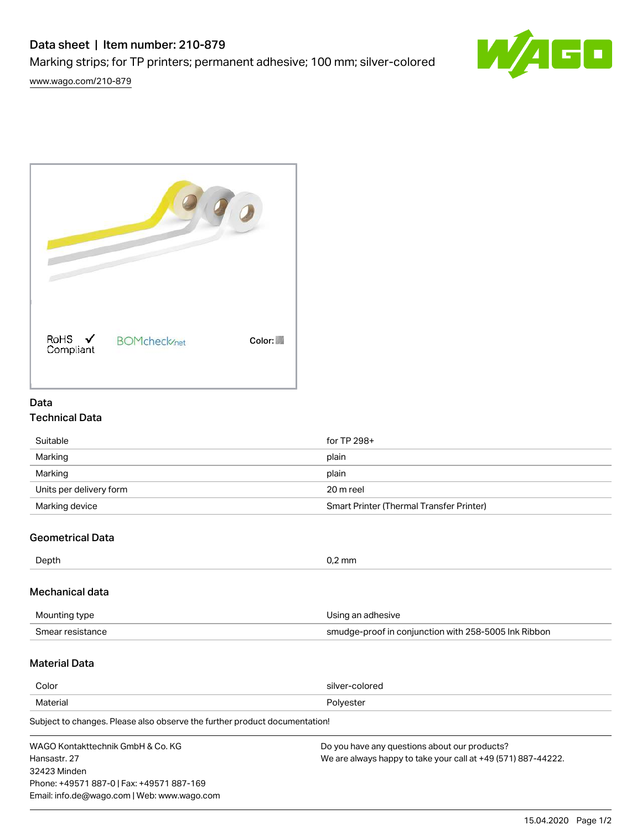# Data sheet | Item number: 210-879

Marking strips; for TP printers; permanent adhesive; 100 mm; silver-colored







## Data

### Technical Data

| Suitable                | for TP 298+                              |
|-------------------------|------------------------------------------|
| Marking                 | plain                                    |
| Marking                 | plain                                    |
| Units per delivery form | 20 m reel                                |
| Marking device          | Smart Printer (Thermal Transfer Printer) |
|                         |                                          |

### Geometrical Data

| Depth | $\Gamma$ mm<br>$\mathbf{r}$ and $\mathbf{r}$ and $\mathbf{r}$ |
|-------|---------------------------------------------------------------|
|       |                                                               |

#### Mechanical data

| Mounting type    | Using an adhesive                                    |  |
|------------------|------------------------------------------------------|--|
| Smear resistance | smudge-proof in conjunction with 258-5005 Ink Ribbon |  |

### Material Data

| Color                                                                    | silver-colored |  |
|--------------------------------------------------------------------------|----------------|--|
| Material                                                                 | Polyester      |  |
| Subject to changes Please also observe the further product documentation |                |  |

Subject to changes. Please also observe the further product documentation!

| WAGO Kontakttechnik GmbH & Co. KG           | Do you have any questions about our products?                 |
|---------------------------------------------|---------------------------------------------------------------|
| Hansastr, 27                                | We are always happy to take your call at +49 (571) 887-44222. |
| 32423 Minden                                |                                                               |
| Phone: +49571 887-0   Fax: +49571 887-169   |                                                               |
| Email: info.de@wago.com   Web: www.wago.com |                                                               |